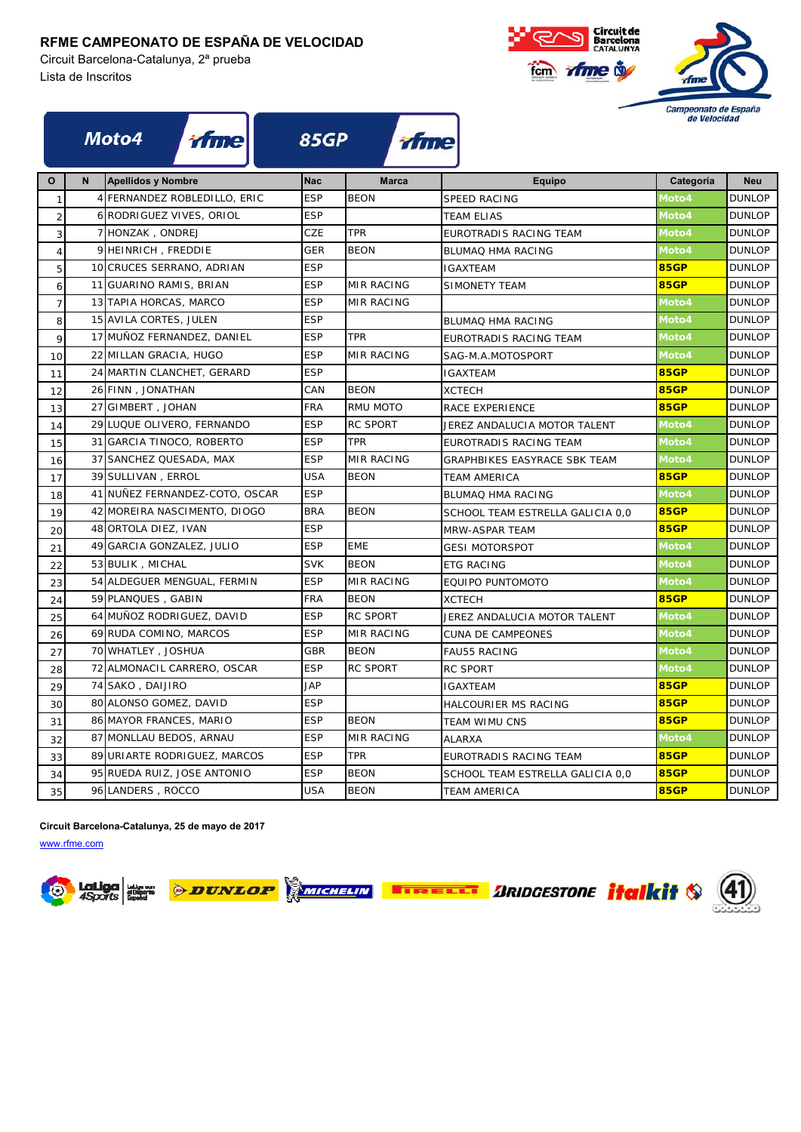#### **RFME CAMPEONATO DE ESPAÑA DE VELOCIDAD**

Circuit Barcelona-Catalunya, 2ª prueba Lista de Inscritos



|                  |   | <i><b>ifme</b></i><br>Moto4    | <b>85GP</b> | tfme              |                                  | de Velocidad |               |  |
|------------------|---|--------------------------------|-------------|-------------------|----------------------------------|--------------|---------------|--|
| O                | N | <b>Apellidos y Nombre</b>      | <b>Nac</b>  | <b>Marca</b>      | Equipo                           | Categoría    | <b>Neu</b>    |  |
| $\mathbf{1}$     |   | 4 FERNANDEZ ROBLEDILLO, ERIC   | <b>ESP</b>  | <b>BEON</b>       | <b>SPEED RACING</b>              | Moto4        | <b>DUNLOP</b> |  |
| $\overline{c}$   |   | 6 RODRIGUEZ VIVES, ORIOL       | <b>ESP</b>  |                   | <b>TEAM ELIAS</b>                | Moto4        | <b>DUNLOP</b> |  |
| 3                |   | 7 HONZAK, ONDREJ               | CZE         | <b>TPR</b>        | EUROTRADIS RACING TEAM           | Moto4        | <b>DUNLOP</b> |  |
| $\sqrt{4}$       |   | 9 HEINRICH, FREDDIE            | <b>GER</b>  | <b>BEON</b>       | BLUMAQ HMA RACING                | Moto4        | <b>DUNLOP</b> |  |
| 5                |   | 10 CRUCES SERRANO, ADRIAN      | <b>ESP</b>  |                   | <b>IGAXTEAM</b>                  | <b>85GP</b>  | <b>DUNLOP</b> |  |
| 6                |   | 11 GUARINO RAMIS, BRIAN        | <b>ESP</b>  | <b>MIR RACING</b> | SIMONETY TEAM                    | <b>85GP</b>  | <b>DUNLOP</b> |  |
| $\boldsymbol{7}$ |   | 13 TAPIA HORCAS, MARCO         | <b>ESP</b>  | <b>MIR RACING</b> |                                  | Moto4        | <b>DUNLOP</b> |  |
| 8                |   | 15 AVILA CORTES, JULEN         | <b>ESP</b>  |                   | BLUMAQ HMA RACING                | Moto4        | <b>DUNLOP</b> |  |
| 9                |   | 17 MUÑOZ FERNANDEZ, DANIEL     | <b>ESP</b>  | <b>TPR</b>        | EUROTRADIS RACING TEAM           | Moto4        | <b>DUNLOP</b> |  |
| 10               |   | 22 MILLAN GRACIA, HUGO         | <b>ESP</b>  | <b>MIR RACING</b> | SAG-M.A.MOTOSPORT                | Moto4        | <b>DUNLOP</b> |  |
| 11               |   | 24 MARTIN CLANCHET, GERARD     | <b>ESP</b>  |                   | <b>IGAXTEAM</b>                  | <b>85GP</b>  | <b>DUNLOP</b> |  |
| 12               |   | 26 FINN, JONATHAN              | CAN         | <b>BEON</b>       | <b>XCTECH</b>                    | <b>85GP</b>  | <b>DUNLOP</b> |  |
| 13               |   | 27 GIMBERT, JOHAN              | <b>FRA</b>  | RMU MOTO          | RACE EXPERIENCE                  | <b>85GP</b>  | <b>DUNLOP</b> |  |
| 14               |   | 29 LUQUE OLIVERO, FERNANDO     | <b>ESP</b>  | <b>RC SPORT</b>   | JEREZ ANDALUCIA MOTOR TALENT     | Moto4        | <b>DUNLOP</b> |  |
| 15               |   | 31 GARCIA TINOCO, ROBERTO      | <b>ESP</b>  | <b>TPR</b>        | EUROTRADIS RACING TEAM           | Moto4        | <b>DUNLOP</b> |  |
| 16               |   | 37 SANCHEZ QUESADA, MAX        | <b>ESP</b>  | MIR RACING        | GRAPHBIKES EASYRACE SBK TEAM     | Moto4        | <b>DUNLOP</b> |  |
| 17               |   | 39 SULLIVAN, ERROL             | <b>USA</b>  | <b>BEON</b>       | <b>TEAM AMERICA</b>              | <b>85GP</b>  | <b>DUNLOP</b> |  |
| 18               |   | 41 NUÑEZ FERNANDEZ-COTO, OSCAR | <b>ESP</b>  |                   | BLUMAQ HMA RACING                | Moto4        | <b>DUNLOP</b> |  |
| 19               |   | 42 MOREIRA NASCIMENTO, DIOGO   | <b>BRA</b>  | <b>BEON</b>       | SCHOOL TEAM ESTRELLA GALICIA 0,0 | <b>85GP</b>  | <b>DUNLOP</b> |  |
| 20               |   | 48 ORTOLA DIEZ, IVAN           | <b>ESP</b>  |                   | MRW-ASPAR TEAM                   | <b>85GP</b>  | <b>DUNLOP</b> |  |
| 21               |   | 49 GARCIA GONZALEZ, JULIO      | <b>ESP</b>  | <b>EME</b>        | <b>GESI MOTORSPOT</b>            | Moto4        | <b>DUNLOP</b> |  |
| 22               |   | 53 BULIK, MICHAL               | <b>SVK</b>  | <b>BEON</b>       | <b>ETG RACING</b>                | Moto4        | <b>DUNLOP</b> |  |
| 23               |   | 54 ALDEGUER MENGUAL, FERMIN    | <b>ESP</b>  | MIR RACING        | EQUIPO PUNTOMOTO                 | Moto4        | <b>DUNLOP</b> |  |
| 24               |   | 59 PLANQUES, GABIN             | <b>FRA</b>  | <b>BEON</b>       | <b>XCTECH</b>                    | <b>85GP</b>  | <b>DUNLOP</b> |  |
| 25               |   | 64 MUÑOZ RODRIGUEZ, DAVID      | <b>ESP</b>  | <b>RC SPORT</b>   | JEREZ ANDALUCIA MOTOR TALENT     | Moto4        | <b>DUNLOP</b> |  |
| 26               |   | 69 RUDA COMINO, MARCOS         | <b>ESP</b>  | <b>MIR RACING</b> | <b>CUNA DE CAMPEONES</b>         | Moto4        | <b>DUNLOP</b> |  |
| 27               |   | 70 WHATLEY, JOSHUA             | GBR         | <b>BEON</b>       | <b>FAU55 RACING</b>              | Moto4        | <b>DUNLOP</b> |  |
| 28               |   | 72 ALMONACIL CARRERO, OSCAR    | <b>ESP</b>  | <b>RC SPORT</b>   | <b>RC SPORT</b>                  | Moto4        | <b>DUNLOP</b> |  |
| 29               |   | 74 SAKO, DAIJIRO               | <b>JAP</b>  |                   | <b>IGAXTEAM</b>                  | <b>85GP</b>  | <b>DUNLOP</b> |  |
| 30               |   | 80 ALONSO GOMEZ, DAVID         | <b>ESP</b>  |                   | HALCOURIER MS RACING             | <b>85GP</b>  | <b>DUNLOP</b> |  |
| 31               |   | 86 MAYOR FRANCES, MARIO        | <b>ESP</b>  | <b>BEON</b>       | <b>TEAM WIMU CNS</b>             | <b>85GP</b>  | <b>DUNLOP</b> |  |
| 32               |   | 87 MONLLAU BEDOS, ARNAU        | <b>ESP</b>  | <b>MIR RACING</b> | <b>ALARXA</b>                    | Moto4        | <b>DUNLOP</b> |  |
| 33               |   | 89 URIARTE RODRIGUEZ, MARCOS   | <b>ESP</b>  | <b>TPR</b>        | EUROTRADIS RACING TEAM           | <b>85GP</b>  | <b>DUNLOP</b> |  |
| 34               |   | 95 RUEDA RUIZ, JOSE ANTONIO    | <b>ESP</b>  | <b>BEON</b>       | SCHOOL TEAM ESTRELLA GALICIA 0,0 | <b>85GP</b>  | <b>DUNLOP</b> |  |
| 35               |   | 96 LANDERS, ROCCO              | <b>USA</b>  | <b>BEON</b>       | <b>TEAM AMERICA</b>              | <b>85GP</b>  | <b>DUNLOP</b> |  |

**Circuit Barcelona-Catalunya, 25 de mayo de 2017**

www.rfme.com





**EXAMPLE TABLE TO ARIDGESTONE** *italkit* \$ 4

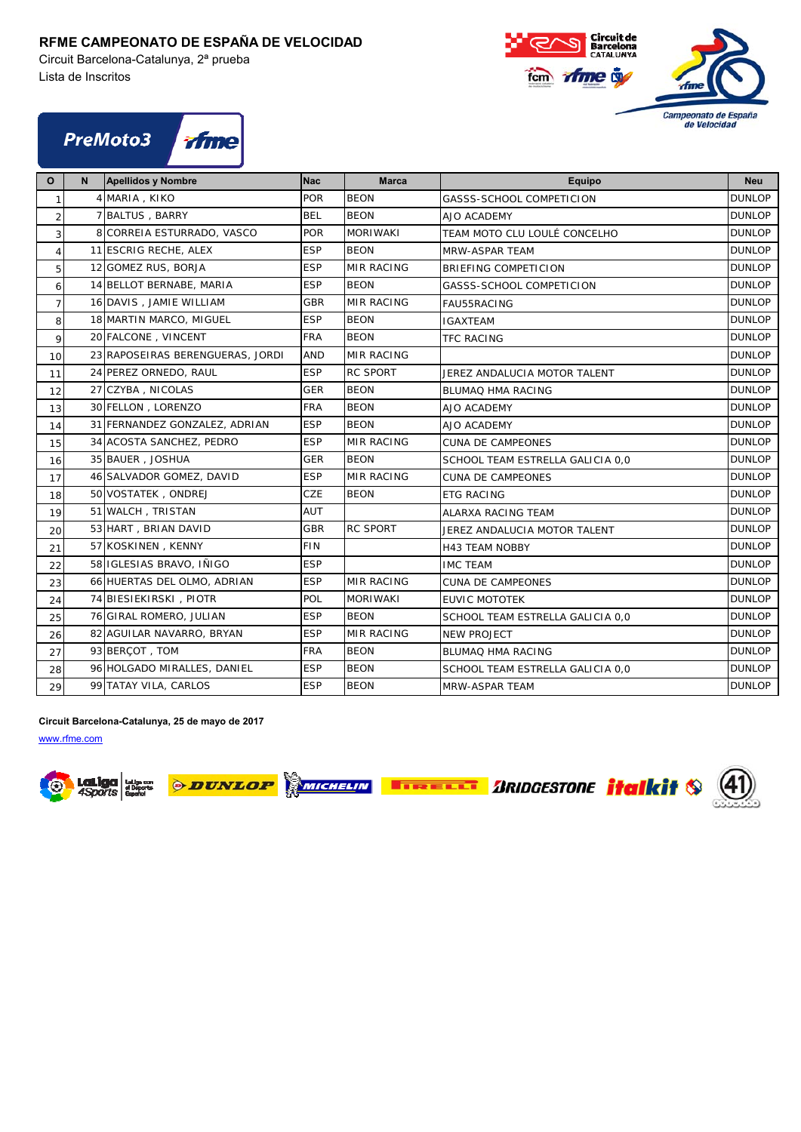### **RFME CAMPEONATO DE ESPAÑA DE VELOCIDAD**

Circuit Barcelona-Catalunya, 2ª prueba Lista de Inscritos





| $\mathbf{o}$   | N | <b>Apellidos y Nombre</b>        | <b>Nac</b> | <b>Marca</b>      | <b>Equipo</b>                    | <b>Neu</b>    |
|----------------|---|----------------------------------|------------|-------------------|----------------------------------|---------------|
| $\mathbf{1}$   |   | 4 MARIA, KIKO                    | <b>POR</b> | <b>BEON</b>       | GASSS-SCHOOL COMPETICION         | <b>DUNLOP</b> |
| $\overline{a}$ |   | 7 BALTUS, BARRY                  | <b>BEL</b> | <b>BEON</b>       | AJO ACADEMY                      | <b>DUNLOP</b> |
| 3              |   | 8 CORREIA ESTURRADO, VASCO       | <b>POR</b> | <b>MORIWAKI</b>   | TEAM MOTO CLU LOULÉ CONCELHO     | <b>DUNLOP</b> |
| $\overline{4}$ |   | 11 ESCRIG RECHE, ALEX            | <b>ESP</b> | <b>BEON</b>       | MRW-ASPAR TEAM                   | <b>DUNLOP</b> |
| 5 <sup>1</sup> |   | 12 GOMEZ RUS, BORJA              | <b>ESP</b> | <b>MIR RACING</b> | BRIEFING COMPETICION             | <b>DUNLOP</b> |
| 6              |   | 14 BELLOT BERNABE, MARIA         | <b>ESP</b> | <b>BEON</b>       | GASSS-SCHOOL COMPETICION         | <b>DUNLOP</b> |
| $\overline{7}$ |   | 16 DAVIS, JAMIE WILLIAM          | <b>GBR</b> | MIR RACING        | <b>FAU55RACING</b>               | <b>DUNLOP</b> |
| 8              |   | 18 MARTIN MARCO, MIGUEL          | <b>ESP</b> | <b>BEON</b>       | IGAXTEAM                         | <b>DUNLOP</b> |
| 9              |   | 20 FALCONE, VINCENT              | <b>FRA</b> | <b>BEON</b>       | <b>TFC RACING</b>                | <b>DUNLOP</b> |
| 10             |   | 23 RAPOSEIRAS BERENGUERAS, JORDI | <b>AND</b> | MIR RACING        |                                  | <b>DUNLOP</b> |
| 11             |   | 24 PEREZ ORNEDO, RAUL            | <b>ESP</b> | <b>RC SPORT</b>   | JEREZ ANDALUCIA MOTOR TALENT     | <b>DUNLOP</b> |
| 12             |   | 27 CZYBA, NICOLAS                | GER        | <b>BEON</b>       | <b>BLUMAQ HMA RACING</b>         | <b>DUNLOP</b> |
| 13             |   | 30 FELLON, LORENZO               | <b>FRA</b> | <b>BEON</b>       | AJO ACADEMY                      | <b>DUNLOP</b> |
| 14             |   | 31 FERNANDEZ GONZALEZ, ADRIAN    | <b>ESP</b> | <b>BEON</b>       | AJO ACADEMY                      | <b>DUNLOP</b> |
| 15             |   | 34 ACOSTA SANCHEZ, PEDRO         | <b>ESP</b> | <b>MIR RACING</b> | <b>CUNA DE CAMPEONES</b>         | <b>DUNLOP</b> |
| 16             |   | 35 BAUER, JOSHUA                 | <b>GER</b> | <b>BEON</b>       | SCHOOL TEAM ESTRELLA GALICIA 0,0 | <b>DUNLOP</b> |
| 17             |   | 46 SALVADOR GOMEZ, DAVID         | <b>ESP</b> | MIR RACING        | <b>CUNA DE CAMPEONES</b>         | <b>DUNLOP</b> |
| 18             |   | 50 VOSTATEK, ONDREJ              | CZE        | <b>BEON</b>       | <b>ETG RACING</b>                | <b>DUNLOP</b> |
| 19             |   | 51 WALCH, TRISTAN                | AUT        |                   | <b>ALARXA RACING TEAM</b>        | <b>DUNLOP</b> |
| 20             |   | 53 HART, BRIAN DAVID             | <b>GBR</b> | <b>RC SPORT</b>   | JEREZ ANDALUCIA MOTOR TALENT     | <b>DUNLOP</b> |
| 21             |   | 57 KOSKINEN, KENNY               | <b>FIN</b> |                   | <b>H43 TEAM NOBBY</b>            | <b>DUNLOP</b> |
| 22             |   | 58 IGLESIAS BRAVO, IÑIGO         | <b>ESP</b> |                   | <b>IMC TEAM</b>                  | <b>DUNLOP</b> |
| 23             |   | 66 HUERTAS DEL OLMO, ADRIAN      | <b>ESP</b> | <b>MIR RACING</b> | <b>CUNA DE CAMPEONES</b>         | <b>DUNLOP</b> |
| 24             |   | 74 BIESIEKIRSKI, PIOTR           | POL        | <b>MORIWAKI</b>   | <b>EUVIC MOTOTEK</b>             | <b>DUNLOP</b> |
| 25             |   | 76 GIRAL ROMERO, JULIAN          | <b>ESP</b> | <b>BEON</b>       | SCHOOL TEAM ESTRELLA GALICIA 0,0 | <b>DUNLOP</b> |
| 26             |   | 82 AGUILAR NAVARRO, BRYAN        | <b>ESP</b> | <b>MIR RACING</b> | <b>NEW PROJECT</b>               | <b>DUNLOP</b> |
| 27             |   | 93 BERCOT, TOM                   | <b>FRA</b> | <b>BEON</b>       | <b>BLUMAQ HMA RACING</b>         | <b>DUNLOP</b> |
| 28             |   | 96 HOLGADO MIRALLES, DANIEL      | <b>ESP</b> | <b>BEON</b>       | SCHOOL TEAM ESTRELLA GALICIA 0,0 | <b>DUNLOP</b> |
| 29             |   | 99 TATAY VILA, CARLOS            | <b>ESP</b> | <b>BEON</b>       | MRW-ASPAR TEAM                   | <b>DUNLOP</b> |

**Circuit Barcelona-Catalunya, 25 de mayo de 2017**





**SMICHELIN TIRELLI ARIDGESTONE Halkit** 

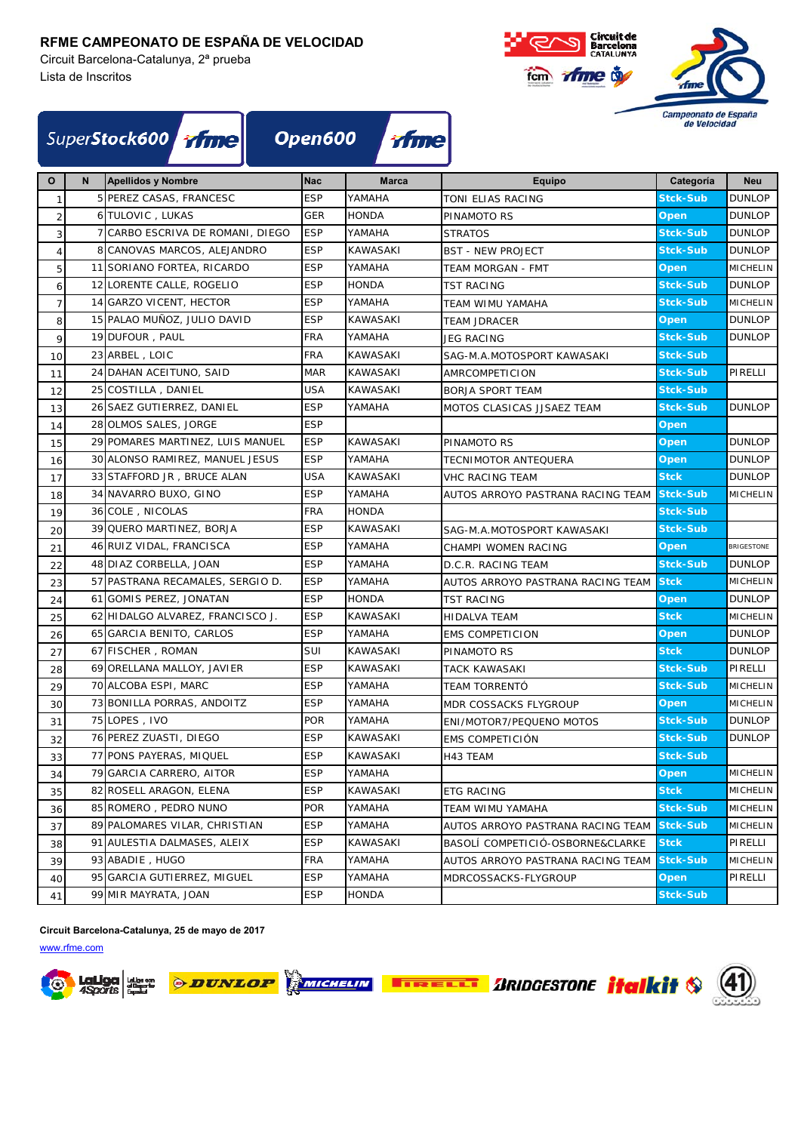Circuit Barcelona-Catalunya, 2ª prueba Lista de Inscritos



| SuperStock600 Time Open600 Time |  |  |  |
|---------------------------------|--|--|--|
|---------------------------------|--|--|--|

| $\mathbf{o}$   | N | <b>Apellidos y Nombre</b>        | <b>Nac</b> | <b>Marca</b>    | <b>Equipo</b>                     | Categoría       | <b>Neu</b>      |
|----------------|---|----------------------------------|------------|-----------------|-----------------------------------|-----------------|-----------------|
| $\overline{1}$ |   | 5 PEREZ CASAS, FRANCESC          | <b>ESP</b> | YAMAHA          | TONI ELIAS RACING                 | Stck-Sub        | <b>DUNLOP</b>   |
| $\overline{2}$ |   | 6 TULOVIC, LUKAS                 | GER        | <b>HONDA</b>    | PINAMOTO RS                       | Open            | <b>DUNLOP</b>   |
| 3              |   | 7 CARBO ESCRIVA DE ROMANI, DIEGO | <b>ESP</b> | YAMAHA          | <b>STRATOS</b>                    | <b>Stck-Sub</b> | <b>DUNLOP</b>   |
| $\overline{4}$ |   | 8 CANOVAS MARCOS, ALEJANDRO      | <b>ESP</b> | <b>KAWASAKI</b> | <b>BST - NEW PROJECT</b>          | <b>Stck-Sub</b> | <b>DUNLOP</b>   |
| 5              |   | 11 SORIANO FORTEA, RICARDO       | <b>ESP</b> | YAMAHA          | TEAM MORGAN - FMT                 | Open            | <b>MICHELIN</b> |
| 6              |   | 12 LORENTE CALLE, ROGELIO        | <b>ESP</b> | <b>HONDA</b>    | <b>TST RACING</b>                 | <b>Stck-Sub</b> | <b>DUNLOP</b>   |
| 7 <sup>1</sup> |   | 14 GARZO VICENT, HECTOR          | <b>ESP</b> | YAMAHA          | TEAM WIMU YAMAHA                  | <b>Stck-Sub</b> | <b>MICHELIN</b> |
| 8              |   | 15 PALAO MUÑOZ, JULIO DAVID      | <b>ESP</b> | <b>KAWASAKI</b> | <b>TEAM JDRACER</b>               | Open            | <b>DUNLOP</b>   |
| 9              |   | 19 DUFOUR, PAUL                  | <b>FRA</b> | YAMAHA          | <b>JEG RACING</b>                 | <b>Stck-Sub</b> | <b>DUNLOP</b>   |
| 10             |   | 23 ARBEL, LOIC                   | <b>FRA</b> | KAWASAKI        | SAG-M.A.MOTOSPORT KAWASAKI        | <b>Stck-Sub</b> |                 |
| 11             |   | 24 DAHAN ACEITUNO, SAID          | <b>MAR</b> | <b>KAWASAKI</b> | AMRCOMPETICION                    | <b>Stck-Sub</b> | PIRELLI         |
| 12             |   | 25 COSTILLA, DANIEL              | USA        | <b>KAWASAKI</b> | <b>BORJA SPORT TEAM</b>           | <b>Stck-Sub</b> |                 |
| 13             |   | 26 SAEZ GUTIERREZ, DANIEL        | <b>ESP</b> | YAMAHA          | MOTOS CLASICAS JJSAEZ TEAM        | <b>Stck-Sub</b> | <b>DUNLOP</b>   |
| 14             |   | 28 OLMOS SALES, JORGE            | <b>ESP</b> |                 |                                   | Open            |                 |
| 15             |   | 29 POMARES MARTINEZ, LUIS MANUEL | ESP        | KAWASAKI        | PINAMOTO RS                       | Open            | <b>DUNLOP</b>   |
| 16             |   | 30 ALONSO RAMIREZ, MANUEL JESUS  | <b>ESP</b> | YAMAHA          | TECNIMOTOR ANTEQUERA              | Open            | <b>DUNLOP</b>   |
| 17             |   | 33 STAFFORD JR, BRUCE ALAN       | USA        | <b>KAWASAKI</b> | <b>VHC RACING TEAM</b>            | <b>Stck</b>     | <b>DUNLOP</b>   |
| 18             |   | 34 NAVARRO BUXO, GINO            | <b>ESP</b> | YAMAHA          | AUTOS ARROYO PASTRANA RACING TEAM | <b>Stck-Sub</b> | <b>MICHELIN</b> |
| 19             |   | 36 COLE, NICOLAS                 | <b>FRA</b> | <b>HONDA</b>    |                                   | <b>Stck-Sub</b> |                 |
| 20             |   | 39 QUERO MARTINEZ, BORJA         | <b>ESP</b> | <b>KAWASAKI</b> | SAG-M.A.MOTOSPORT KAWASAKI        | <b>Stck-Sub</b> |                 |
| 21             |   | 46 RUIZ VIDAL, FRANCISCA         | <b>ESP</b> | YAMAHA          | CHAMPI WOMEN RACING               | Open            | BRIGESTONE      |
| 22             |   | 48 DIAZ CORBELLA, JOAN           | <b>ESP</b> | YAMAHA          | D.C.R. RACING TEAM                | <b>Stck-Sub</b> | <b>DUNLOP</b>   |
| 23             |   | 57 PASTRANA RECAMALES, SERGIO D. | <b>ESP</b> | YAMAHA          | AUTOS ARROYO PASTRANA RACING TEAM | <b>Stck</b>     | <b>MICHELIN</b> |
| 24             |   | 61 GOMIS PEREZ, JONATAN          | <b>ESP</b> | <b>HONDA</b>    | <b>TST RACING</b>                 | Open            | <b>DUNLOP</b>   |
| 25             |   | 62 HIDALGO ALVAREZ, FRANCISCO J. | <b>ESP</b> | <b>KAWASAKI</b> | HIDALVA TEAM                      | <b>Stck</b>     | <b>MICHELIN</b> |
| 26             |   | 65 GARCIA BENITO, CARLOS         | <b>ESP</b> | YAMAHA          | <b>EMS COMPETICION</b>            | Open            | <b>DUNLOP</b>   |
| 27             |   | 67 FISCHER, ROMAN                | SUI        | KAWASAKI        | PINAMOTO RS                       | <b>Stck</b>     | <b>DUNLOP</b>   |
| 28             |   | 69 ORELLANA MALLOY, JAVIER       | <b>ESP</b> | <b>KAWASAKI</b> | TACK KAWASAKI                     | <b>Stck-Sub</b> | PIRELLI         |
| 29             |   | 70 ALCOBA ESPI, MARC             | <b>ESP</b> | YAMAHA          | TEAM TORRENTÓ                     | <b>Stck-Sub</b> | <b>MICHELIN</b> |
| 30             |   | 73 BONILLA PORRAS, ANDOITZ       | <b>ESP</b> | YAMAHA          | MDR COSSACKS FLYGROUP             | Open            | <b>MICHELIN</b> |
| 31             |   | 75 LOPES, IVO                    | <b>POR</b> | YAMAHA          | ENI/MOTOR7/PEQUENO MOTOS          | <b>Stck-Sub</b> | <b>DUNLOP</b>   |
| 32             |   | 76 PEREZ ZUASTI, DIEGO           | <b>ESP</b> | KAWASAKI        | EMS COMPETICIÓN                   | <b>Stck-Sub</b> | <b>DUNLOP</b>   |
| 33             |   | 77 PONS PAYERAS, MIQUEL          | <b>ESP</b> | KAWASAKI        | H43 TEAM                          | <b>Stck-Sub</b> |                 |
| 34             |   | 79 GARCIA CARRERO, AITOR         | <b>ESP</b> | YAMAHA          |                                   | <b>Open</b>     | <b>MICHELIN</b> |
| 35             |   | 82 ROSELL ARAGON, ELENA          | <b>ESP</b> | <b>KAWASAKI</b> | <b>ETG RACING</b>                 | <b>Stck</b>     | MICHELIN        |
| 36             |   | 85 ROMERO, PEDRO NUNO            | POR        | YAMAHA          | TEAM WIMU YAMAHA                  | <b>Stck-Sub</b> | <b>MICHELIN</b> |
| 37             |   | 89 PALOMARES VILAR, CHRISTIAN    | ESP        | YAMAHA          | AUTOS ARROYO PASTRANA RACING TEAM | <b>Stck-Sub</b> | <b>MICHELIN</b> |
| 38             |   | 91 AULESTIA DALMASES, ALEIX      | <b>ESP</b> | KAWASAKI        | BASOLÍ COMPETICIÓ-OSBORNE&CLARKE  | <b>Stck</b>     | PIRELLI         |
| 39             |   | 93 ABADIE, HUGO                  | FRA        | YAMAHA          | AUTOS ARROYO PASTRANA RACING TEAM | <b>Stck-Sub</b> | MICHELIN        |
| 40             |   | 95 GARCIA GUTIERREZ, MIGUEL      | ESP        | YAMAHA          | MDRCOSSACKS-FLYGROUP              | Open            | PIRELLI         |
| 41             |   | 99 MIR MAYRATA, JOAN             | <b>ESP</b> | HONDA           |                                   | Stck-Sub        |                 |

**Circuit Barcelona-Catalunya, 25 de mayo de 2017**





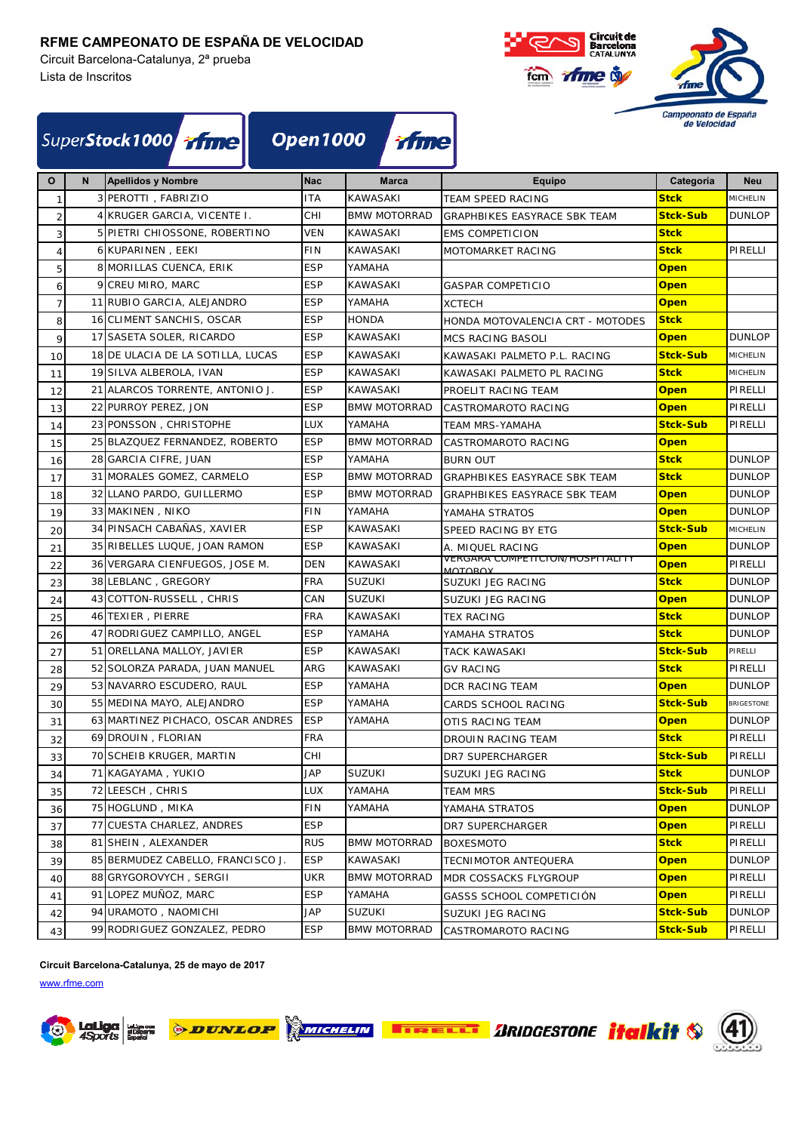Circuit Barcelona-Catalunya, 2ª prueba Lista de Inscritos



| SuperStock1000 Time Open1000 Time |
|-----------------------------------|
|-----------------------------------|

| $\mathbf{o}$   | N | Apellidos y Nombre                | <b>Nac</b> | <b>Marca</b>        | Equipo                                     | Categoría       | <b>Neu</b>    |
|----------------|---|-----------------------------------|------------|---------------------|--------------------------------------------|-----------------|---------------|
| $\mathbf{1}$   |   | 3 PEROTTI, FABRIZIO               | <b>ITA</b> | <b>KAWASAKI</b>     | TEAM SPEED RACING                          | <b>Stck</b>     | MICHELIN      |
| $\overline{2}$ |   | 4 KRUGER GARCIA, VICENTE I.       | CHI        | <b>BMW MOTORRAD</b> | <b>GRAPHBIKES EASYRACE SBK TEAM</b>        | <b>Stck-Sub</b> | <b>DUNLOP</b> |
| 3              |   | 5 PIETRI CHIOSSONE, ROBERTINO     | VEN        | <b>KAWASAKI</b>     | <b>EMS COMPETICION</b>                     | <b>Stck</b>     |               |
| $\overline{4}$ |   | 6 KUPARINEN, EEKI                 | <b>FIN</b> | <b>KAWASAKI</b>     | MOTOMARKET RACING                          | <b>Stck</b>     | PIRELLI       |
| 5              |   | 8 MORILLAS CUENCA, ERIK           | <b>ESP</b> | YAMAHA              |                                            | <b>Open</b>     |               |
| 6              |   | 9 CREU MIRO, MARC                 | <b>ESP</b> | <b>KAWASAKI</b>     | <b>GASPAR COMPETICIO</b>                   | <b>Open</b>     |               |
| $\overline{7}$ |   | 11 RUBIO GARCIA, ALEJANDRO        | <b>ESP</b> | YAMAHA              | <b>XCTECH</b>                              | <b>Open</b>     |               |
| 8              |   | 16 CLIMENT SANCHIS, OSCAR         | <b>ESP</b> | <b>HONDA</b>        | HONDA MOTOVALENCIA CRT - MOTODES           | <b>Stck</b>     |               |
| 9              |   | 17 SASETA SOLER, RICARDO          | <b>ESP</b> | <b>KAWASAKI</b>     | <b>MCS RACING BASOLI</b>                   | <b>Open</b>     | <b>DUNLOP</b> |
| 10             |   | 18 DE ULACIA DE LA SOTILLA, LUCAS | <b>ESP</b> | <b>KAWASAKI</b>     | KAWASAKI PALMETO P.L. RACING               | <b>Stck-Sub</b> | MICHELIN      |
| 11             |   | 19 SILVA ALBEROLA, IVAN           | <b>ESP</b> | <b>KAWASAKI</b>     | KAWASAKI PALMETO PL RACING                 | <b>Stck</b>     | MICHELIN      |
| 12             |   | 21 ALARCOS TORRENTE, ANTONIO J.   | <b>ESP</b> | <b>KAWASAKI</b>     | PROELIT RACING TEAM                        | Open            | PIRELLI       |
| 13             |   | 22 PURROY PEREZ, JON              | <b>ESP</b> | <b>BMW MOTORRAD</b> | CASTROMAROTO RACING                        | <b>Open</b>     | PIRELLI       |
| 14             |   | 23 PONSSON, CHRISTOPHE            | LUX        | YAMAHA              | TEAM MRS-YAMAHA                            | <b>Stck-Sub</b> | PIRELLI       |
| 15             |   | 25 BLAZQUEZ FERNANDEZ, ROBERTO    | <b>ESP</b> | <b>BMW MOTORRAD</b> | CASTROMAROTO RACING                        | <b>Open</b>     |               |
| 16             |   | 28 GARCIA CIFRE, JUAN             | <b>ESP</b> | YAMAHA              | <b>BURN OUT</b>                            | <b>Stck</b>     | <b>DUNLOP</b> |
| 17             |   | 31 MORALES GOMEZ, CARMELO         | <b>ESP</b> | <b>BMW MOTORRAD</b> | GRAPHBIKES EASYRACE SBK TEAM               | <b>Stck</b>     | <b>DUNLOP</b> |
| 18             |   | 32 LLANO PARDO, GUILLERMO         | <b>ESP</b> | <b>BMW MOTORRAD</b> | <b>GRAPHBIKES EASYRACE SBK TEAM</b>        | <b>Open</b>     | <b>DUNLOP</b> |
| 19             |   | 33 MAKINEN, NIKO                  | <b>FIN</b> | YAMAHA              | YAMAHA STRATOS                             | <b>Open</b>     | <b>DUNLOP</b> |
| 20             |   | 34 PINSACH CABAÑAS, XAVIER        | ESP        | <b>KAWASAKI</b>     | SPEED RACING BY ETG                        | <b>Stck-Sub</b> | MICHELIN      |
| 21             |   | 35 RIBELLES LUQUE, JOAN RAMON     | <b>ESP</b> | KAWASAKI            | A. MIQUEL RACING                           | <b>Open</b>     | <b>DUNLOP</b> |
| 22             |   | 36 VERGARA CIENFUEGOS, JOSE M.    | DEN        | KAWASAKI            | VERGARA COMPETICION/HOSPITALITY<br>MOTOROY | <b>Open</b>     | PIRELLI       |
| 23             |   | 38 LEBLANC, GREGORY               | FRA        | <b>SUZUKI</b>       | SUZUKI JEG RACING                          | <b>Stck</b>     | <b>DUNLOP</b> |
| 24             |   | 43 COTTON-RUSSELL, CHRIS          | CAN        | <b>SUZUKI</b>       | SUZUKI JEG RACING                          | <b>Open</b>     | <b>DUNLOP</b> |
| 25             |   | 46 TEXIER, PIERRE                 | <b>FRA</b> | <b>KAWASAKI</b>     | <b>TEX RACING</b>                          | <b>Stck</b>     | <b>DUNLOP</b> |
| 26             |   | 47 RODRIGUEZ CAMPILLO, ANGEL      | <b>ESP</b> | YAMAHA              | YAMAHA STRATOS                             | <b>Stck</b>     | <b>DUNLOP</b> |
| 27             |   | 51 ORELLANA MALLOY, JAVIER        | <b>ESP</b> | KAWASAKI            | TACK KAWASAKI                              | <b>Stck-Sub</b> | PIRELLI       |
| 28             |   | 52 SOLORZA PARADA, JUAN MANUEL    | ARG        | <b>KAWASAKI</b>     | <b>GV RACING</b>                           | <b>Stck</b>     | PIRELLI       |
| 29             |   | 53 NAVARRO ESCUDERO, RAUL         | <b>ESP</b> | YAMAHA              | DCR RACING TEAM                            | <b>Open</b>     | <b>DUNLOP</b> |
| 30             |   | 55 MEDINA MAYO, ALEJANDRO         | <b>ESP</b> | YAMAHA              | CARDS SCHOOL RACING                        | <b>Stck-Sub</b> | BRIGESTONE    |
| 31             |   | 63 MARTINEZ PICHACO, OSCAR ANDRES | <b>ESP</b> | YAMAHA              | OTIS RACING TEAM                           | <b>Open</b>     | <b>DUNLOP</b> |
| 32             |   | 69 DROUIN, FLORIAN                | FRA        |                     | DROUIN RACING TEAM                         | <b>Stck</b>     | PIRELLI       |
| 33             |   | 70 SCHEIB KRUGER, MARTIN          | CHI        |                     | DR7 SUPERCHARGER                           | <b>Stck-Sub</b> | PIRELLI       |
| 34             |   | 71 KAGAYAMA, YUKIO                | JAP        | <b>SUZUKI</b>       | SUZUKI JEG RACING                          | <b>Stck</b>     | <b>DUNLOP</b> |
| 35             |   | 72 LEESCH, CHRIS                  | LUX        | YAMAHA              | <b>TEAM MRS</b>                            | <b>Stck-Sub</b> | PIRELLI       |
| 36             |   | 75 HOGLUND, MIKA                  | <b>FIN</b> | YAMAHA              | YAMAHA STRATOS                             | Open            | <b>DUNLOP</b> |
| 37             |   | 77 CUESTA CHARLEZ, ANDRES         | ESP        |                     | DR7 SUPERCHARGER                           | <b>Open</b>     | PIRELLI       |
| 38             |   | 81 SHEIN, ALEXANDER               | RUS        | <b>BMW MOTORRAD</b> | <b>BOXESMOTO</b>                           | <b>Stck</b>     | PIRELLI       |
| 39             |   | 85 BERMUDEZ CABELLO, FRANCISCO J. | ESP        | KAWASAKI            | TECNIMOTOR ANTEQUERA                       | <u>Open</u>     | <b>DUNLOP</b> |
| 40             |   | 88 GRYGOROVYCH, SERGII            | UKR        | <b>BMW MOTORRAD</b> | MDR COSSACKS FLYGROUP                      | Open            | PIRELLI       |
| 41             |   | 91 LOPEZ MUÑOZ, MARC              | <b>ESP</b> | YAMAHA              | GASSS SCHOOL COMPETICIÓN                   | <b>Open</b>     | PIRELLI       |
| 42             |   | 94 URAMOTO, NAOMICHI              | JAP        | <b>SUZUKI</b>       | SUZUKI JEG RACING                          | <b>Stck-Sub</b> | <b>DUNLOP</b> |
| 43             |   | 99 RODRIGUEZ GONZALEZ, PEDRO      | ESP        | <b>BMW MOTORRAD</b> | CASTROMAROTO RACING                        | <b>Stck-Sub</b> | PIRELLI       |

**Circuit Barcelona-Catalunya, 25 de mayo de 2017**



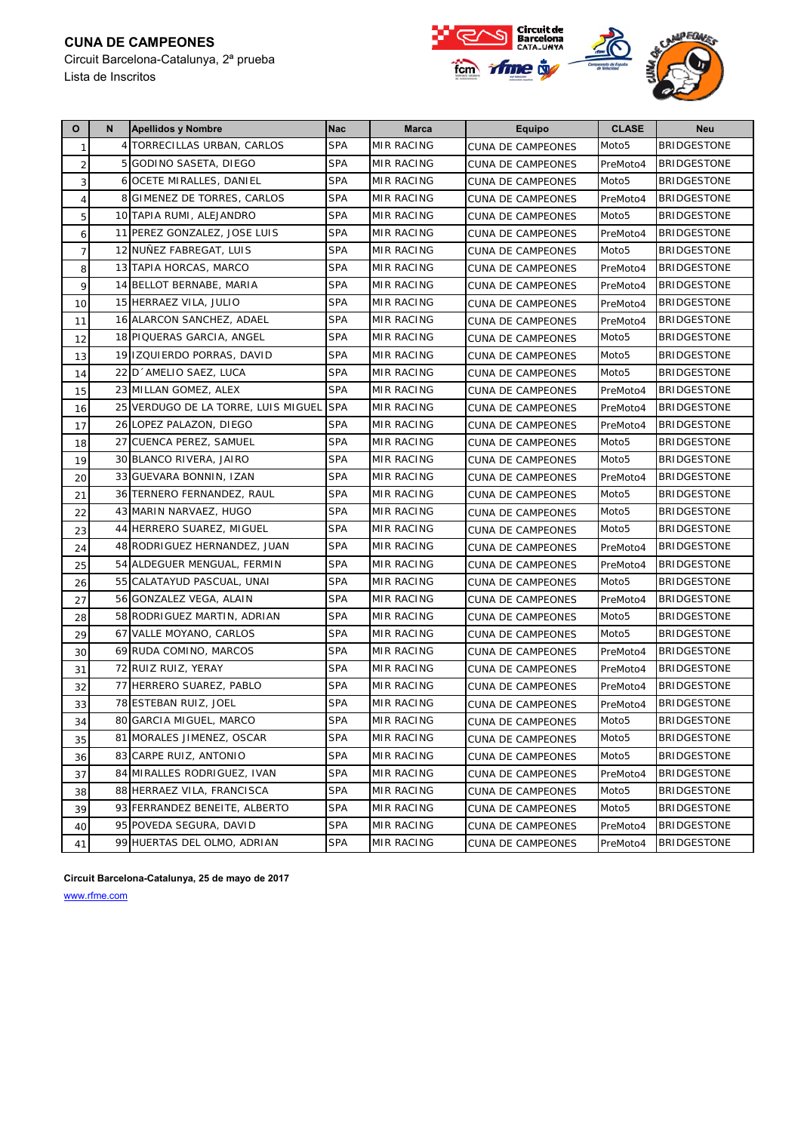# **CUNA DE CAMPEONES**

Circuit Barcelona-Catalunya, 2ª prueba





| $\mathbf{o}$   | N | <b>Apellidos y Nombre</b>           | <b>Nac</b> | Marca             | <b>Equipo</b>            | <b>CLASE</b>      | <b>Neu</b>         |
|----------------|---|-------------------------------------|------------|-------------------|--------------------------|-------------------|--------------------|
| $\mathbf{1}$   |   | 4 TORRECILLAS URBAN, CARLOS         | <b>SPA</b> | MIR RACING        | CUNA DE CAMPEONES        | Moto <sub>5</sub> | <b>BRIDGESTONE</b> |
| $\overline{2}$ |   | 5 GODINO SASETA, DIEGO              | <b>SPA</b> | MIR RACING        | <b>CUNA DE CAMPEONES</b> | PreMoto4          | <b>BRIDGESTONE</b> |
| 3              |   | 6 OCETE MIRALLES, DANIEL            | <b>SPA</b> | MIR RACING        | <b>CUNA DE CAMPEONES</b> | Moto <sub>5</sub> | <b>BRIDGESTONE</b> |
| $\overline{4}$ |   | 8 GIMENEZ DE TORRES, CARLOS         | <b>SPA</b> | MIR RACING        | <b>CUNA DE CAMPEONES</b> | PreMoto4          | <b>BRIDGESTONE</b> |
| 5              |   | 10 TAPIA RUMI, ALEJANDRO            | <b>SPA</b> | MIR RACING        | <b>CUNA DE CAMPEONES</b> | Moto <sub>5</sub> | <b>BRIDGESTONE</b> |
| 6              |   | 11 PEREZ GONZALEZ, JOSE LUIS        | <b>SPA</b> | MIR RACING        | <b>CUNA DE CAMPEONES</b> | PreMoto4          | <b>BRIDGESTONE</b> |
| $\overline{7}$ |   | 12 NUÑEZ FABREGAT, LUIS             | <b>SPA</b> | MIR RACING        | <b>CUNA DE CAMPEONES</b> | Moto <sub>5</sub> | <b>BRIDGESTONE</b> |
| 8              |   | 13 TAPIA HORCAS, MARCO              | <b>SPA</b> | <b>MIR RACING</b> | <b>CUNA DE CAMPEONES</b> | PreMoto4          | <b>BRIDGESTONE</b> |
| 9              |   | 14 BELLOT BERNABE, MARIA            | <b>SPA</b> | <b>MIR RACING</b> | <b>CUNA DE CAMPEONES</b> | PreMoto4          | <b>BRIDGESTONE</b> |
| 10             |   | 15 HERRAEZ VILA, JULIO              | <b>SPA</b> | <b>MIR RACING</b> | <b>CUNA DE CAMPEONES</b> | PreMoto4          | <b>BRIDGESTONE</b> |
| 11             |   | 16 ALARCON SANCHEZ, ADAEL           | <b>SPA</b> | MIR RACING        | CUNA DE CAMPEONES        | PreMoto4          | <b>BRIDGESTONE</b> |
| 12             |   | 18 PIQUERAS GARCIA, ANGEL           | <b>SPA</b> | <b>MIR RACING</b> | <b>CUNA DE CAMPEONES</b> | Moto <sub>5</sub> | <b>BRIDGESTONE</b> |
| 13             |   | 19 IZQUIERDO PORRAS, DAVID          | <b>SPA</b> | MIR RACING        | <b>CUNA DE CAMPEONES</b> | Moto <sub>5</sub> | <b>BRIDGESTONE</b> |
| 14             |   | 22 D AMELIO SAEZ, LUCA              | <b>SPA</b> | MIR RACING        | <b>CUNA DE CAMPEONES</b> | Moto <sub>5</sub> | <b>BRIDGESTONE</b> |
| 15             |   | 23 MILLAN GOMEZ, ALEX               | <b>SPA</b> | <b>MIR RACING</b> | <b>CUNA DE CAMPEONES</b> | PreMoto4          | <b>BRIDGESTONE</b> |
| 16             |   | 25 VERDUGO DE LA TORRE, LUIS MIGUEL | <b>SPA</b> | MIR RACING        | <b>CUNA DE CAMPEONES</b> | PreMoto4          | <b>BRIDGESTONE</b> |
| 17             |   | 26 LOPEZ PALAZON, DIEGO             | <b>SPA</b> | MIR RACING        | <b>CUNA DE CAMPEONES</b> | PreMoto4          | <b>BRIDGESTONE</b> |
| 18             |   | 27 CUENCA PEREZ, SAMUEL             | <b>SPA</b> | <b>MIR RACING</b> | <b>CUNA DE CAMPEONES</b> | Moto <sub>5</sub> | <b>BRIDGESTONE</b> |
| 19             |   | 30 BLANCO RIVERA, JAIRO             | <b>SPA</b> | MIR RACING        | <b>CUNA DE CAMPEONES</b> | Moto <sub>5</sub> | <b>BRIDGESTONE</b> |
| 20             |   | 33 GUEVARA BONNIN, IZAN             | <b>SPA</b> | MIR RACING        | <b>CUNA DE CAMPEONES</b> | PreMoto4          | <b>BRIDGESTONE</b> |
| 21             |   | 36 TERNERO FERNANDEZ, RAUL          | <b>SPA</b> | <b>MIR RACING</b> | <b>CUNA DE CAMPEONES</b> | Moto <sub>5</sub> | <b>BRIDGESTONE</b> |
| 22             |   | 43 MARIN NARVAEZ, HUGO              | <b>SPA</b> | MIR RACING        | <b>CUNA DE CAMPEONES</b> | Moto <sub>5</sub> | <b>BRIDGESTONE</b> |
| 23             |   | 44 HERRERO SUAREZ, MIGUEL           | <b>SPA</b> | MIR RACING        | <b>CUNA DE CAMPEONES</b> | Moto <sub>5</sub> | <b>BRIDGESTONE</b> |
| 24             |   | 48 RODRIGUEZ HERNANDEZ, JUAN        | <b>SPA</b> | <b>MIR RACING</b> | CUNA DE CAMPEONES        | PreMoto4          | <b>BRIDGESTONE</b> |
| 25             |   | 54 ALDEGUER MENGUAL, FERMIN         | <b>SPA</b> | MIR RACING        | <b>CUNA DE CAMPEONES</b> | PreMoto4          | <b>BRIDGESTONE</b> |
| 26             |   | 55 CALATAYUD PASCUAL, UNAI          | <b>SPA</b> | <b>MIR RACING</b> | CUNA DE CAMPEONES        | Moto <sub>5</sub> | <b>BRIDGESTONE</b> |
| 27             |   | 56 GONZALEZ VEGA, ALAIN             | <b>SPA</b> | <b>MIR RACING</b> | <b>CUNA DE CAMPEONES</b> | PreMoto4          | <b>BRIDGESTONE</b> |
| 28             |   | 58 RODRIGUEZ MARTIN, ADRIAN         | <b>SPA</b> | MIR RACING        | <b>CUNA DE CAMPEONES</b> | Moto <sub>5</sub> | <b>BRIDGESTONE</b> |
| 29             |   | 67 VALLE MOYANO, CARLOS             | <b>SPA</b> | MIR RACING        | <b>CUNA DE CAMPEONES</b> | Moto <sub>5</sub> | <b>BRIDGESTONE</b> |
| 30             |   | 69 RUDA COMINO, MARCOS              | <b>SPA</b> | <b>MIR RACING</b> | <b>CUNA DE CAMPEONES</b> | PreMoto4          | <b>BRIDGESTONE</b> |
| 31             |   | 72 RUIZ RUIZ, YERAY                 | <b>SPA</b> | MIR RACING        | <b>CUNA DE CAMPEONES</b> | PreMoto4          | <b>BRIDGESTONE</b> |
| 32             |   | 77 HERRERO SUAREZ, PABLO            | <b>SPA</b> | MIR RACING        | <b>CUNA DE CAMPEONES</b> | PreMoto4          | <b>BRIDGESTONE</b> |
| 33             |   | 78 ESTEBAN RUIZ, JOEL               | <b>SPA</b> | MIR RACING        | <b>CUNA DE CAMPEONES</b> | PreMoto4          | <b>BRIDGESTONE</b> |
| 34             |   | 80 GARCIA MIGUEL, MARCO             | <b>SPA</b> | MIR RACING        | CUNA DE CAMPEONES        | Moto <sub>5</sub> | BRIDGESTONE        |
| 35             |   | 81 MORALES JIMENEZ, OSCAR           | <b>SPA</b> | MIR RACING        | <b>CUNA DE CAMPEONES</b> | Moto <sub>5</sub> | <b>BRIDGESTONE</b> |
| 36             |   | 83 CARPE RUIZ, ANTONIO              | <b>SPA</b> | MIR RACING        | CUNA DE CAMPEONES        | Moto5             | <b>BRIDGESTONE</b> |
| 37             |   | 84 MIRALLES RODRIGUEZ, IVAN         | <b>SPA</b> | MIR RACING        | CUNA DE CAMPEONES        | PreMoto4          | <b>BRIDGESTONE</b> |
| 38             |   | 88 HERRAEZ VILA, FRANCISCA          | <b>SPA</b> | MIR RACING        | <b>CUNA DE CAMPEONES</b> | Moto <sub>5</sub> | <b>BRIDGESTONE</b> |
| 39             |   | 93 FERRANDEZ BENEITE, ALBERTO       | <b>SPA</b> | MIR RACING        | CUNA DE CAMPEONES        | Moto5             | <b>BRIDGESTONE</b> |
| 40             |   | 95 POVEDA SEGURA, DAVID             | <b>SPA</b> | MIR RACING        | CUNA DE CAMPEONES        | PreMoto4          | <b>BRIDGESTONE</b> |
| 41             |   | 99 HUERTAS DEL OLMO, ADRIAN         | <b>SPA</b> | MIR RACING        | CUNA DE CAMPEONES        | PreMoto4          | <b>BRIDGESTONE</b> |

**Circuit Barcelona-Catalunya, 25 de mayo de 2017**